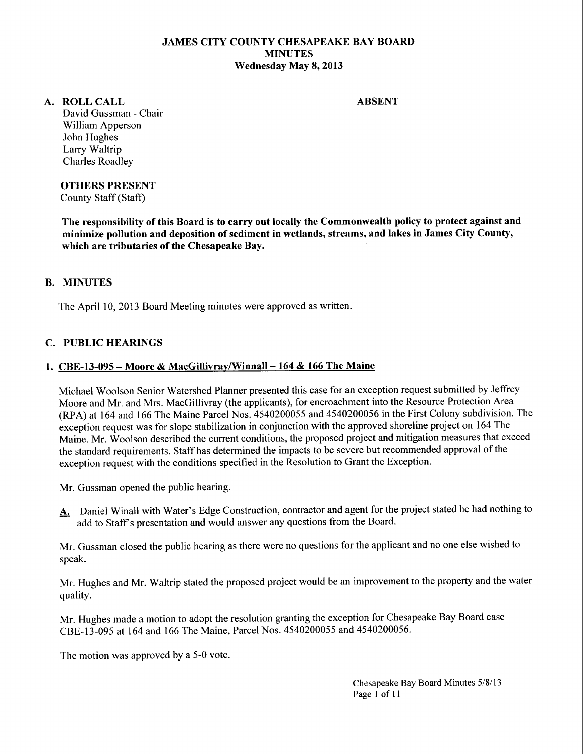## **JAMES CITY COUNTY CHESAPEAKE BAY BOARD MINUTES Wednesday May 8, 2013**

#### **A. ROLLCALL**

**ABSENT** 

David Gussman - Chair William Apperson John Hughes Larry Waltrip Charles Roadley

## **OTHERS PRESENT**

County Staff (Staff)

**The responsibility of this Board is to carry out locally the Commonwealth policy to protect against and minimize pollution and deposition of sediment in wetlands, streams, and lakes in James City County, which are tributaries of the Chesapeake Bay.** 

## **B. MINUTES**

The April 10, 2013 Board Meeting minutes were approved as written.

## **C. PUBLIC HEARINGS**

#### **1. CBE-13-095- Moore & MacGillivray/Winnall-164 & 166 The Maine**

Michael Woolson Senior Watershed Planner presented this case for an exception request submitted by Jeffrey Moore and Mr. and Mrs. MacGillivray (the applicants), for encroachment into the Resource Protection Area (RPA) at 164 and 166 The Maine Parcel Nos. 4540200055 and 4540200056 in the First Colony subdivision. The exception request was for slope stabilization in conjunction with the approved shoreline project on 164 The Maine. Mr. Woolson described the current conditions, the proposed project and mitigation measures that exceed the standard requirements. Staff has determined the impacts to be severe but recommended approval of the exception request with the conditions specified in the Resolution to Grant the Exception.

Mr. Gussman opened the public hearing.

A. Daniel Winall with Water's Edge Construction, contractor and agent for the project stated he had nothing to add to Staff's presentation and would answer any questions from the Board.

Mr. Gussman closed the public hearing as there were no questions for the applicant and no one else wished to speak.

Mr. Hughes and Mr. Waltrip stated the proposed project would be an improvement to the property and the water quality.

Mr. Hughes made a motion to adopt the resolution granting the exception for Chesapeake Bay Board case CBE-13-095 at 164 and 166 The Maine, Parcel Nos. 4540200055 and 4540200056.

The motion was approved by a 5-0 vote.

Chesapeake Bay Board Minutes 5/8113 Page I of II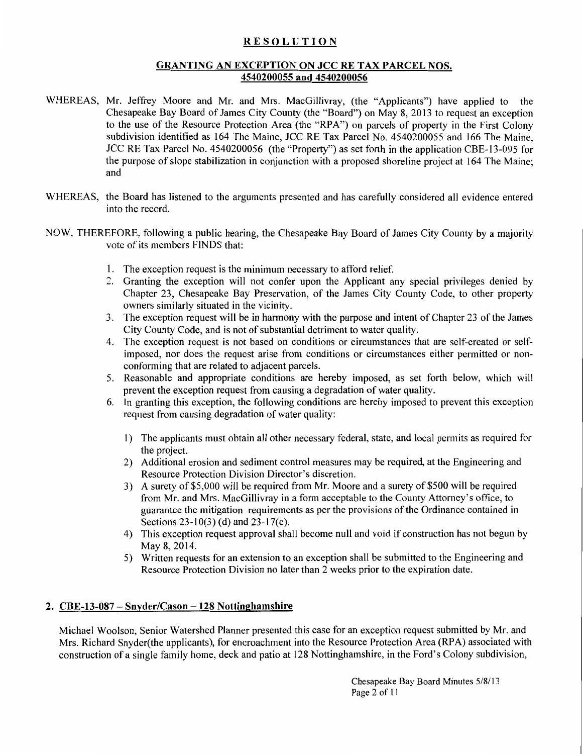## RESOLUTION

## GRANTING AN EXCEPTION ON JCC RE TAX PARCEL NOS. 4540200055 and 4540200056

- WHEREAS, Mr. Jeffrey Moore and Mr. and Mrs. MacGillivray, (the "Applicants") have applied to the Chesapeake Bay Board of James City County (the "Board") on May 8, 2013 to request an exception to the use of the Resource Protection Area (the "RPA") on parcels of property in the First Colony subdivision identified as 164 The Maine, JCC RE Tax Parcel No. 4540200055 and 166 The Maine, JCC RE Tax Parcel No. 4540200056 (the "Property") as set forth in the application CBE-13-095 for the purpose of slope stabilization in conjunction with a proposed shoreline project at 164 The Maine; and
- WHEREAS, the Board has listened to the arguments presented and has carefully considered all evidence entered into the record.
- NOW, THEREFORE, following a public hearing, the Chesapeake Bay Board of James City County by a majority vote of its members FINDS that:
	- 1. The exception request is the minimum necessary to afford relief.
	- 2. Granting the exception will not confer upon the Applicant any special privileges denied by Chapter 23, Chesapeake Bay Preservation, of the James City County Code, to other property owners similarly situated in the vicinity.
	- 3. The exception request will be in harmony with the purpose and intent of Chapter 23 ofthe James City County Code, and is not of substantial detriment to water quality.
	- 4. The exception request is not based on conditions or circumstances that are self-created or selfimposed, nor does the request arise from conditions or circumstances either permitted or nonconforming that are related to adjacent parcels.
	- 5. Reasonable and appropriate conditions are hereby imposed, as set forth below, which will prevent the exception request from causing a degradation of water quality.
	- 6. In granting this exception, the following conditions are hereby imposed to prevent this exception request from causing degradation of water quality:
		- 1) The applicants must obtain all other necessary federal, state, and local permits as required for the project.
		- 2) Additional erosion and sediment control measures may be required, at the Engineering and Resource Protection Division Director's discretion.
		- 3) A surety of\$5,000 will be required from Mr. Moore and a surety of\$500 will be required from Mr. and Mrs. MacGillivray in a form acceptable to the County Attorney's office, to guarantee the mitigation requirements as per the provisions of the Ordinance contained in Sections  $23-10(3)$  (d) and  $23-17(c)$ .
		- 4) This exception request approval shall become null and void if construction has not begun by May 8, 2014.
		- 5) Written requests for an extension to an exception shall be submitted to the Engineering and Resource Protection Division no later than 2 weeks prior to the expiration date.

## 2.  $CBE-13-087-Snyder/Cason -128 Nottinghamshire$

Michael Woolson, Senior Watershed Planner presented this case for an exception request submitted by Mr. and Mrs. Richard Snyder(the applicants), for encroachment into the Resource Protection Area (RPA) associated with construction of a single family home, deck and patio at 128 Nottinghamshire, in the Ford's Colony subdivision,

> Chesapeake Bay Board Minutes 5/8/13 Page 2 of II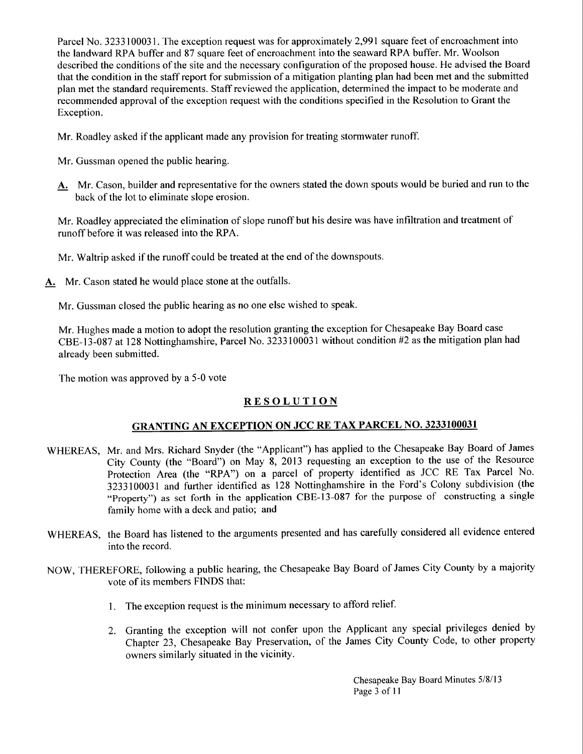Parcel No. 3233100031. The exception request was for approximately 2,991 square feet of encroachment into the landward RPA buffer and 87 square feet of encroachment into the seaward RPA buffer. Mr. Woolson described the conditions ofthe site and the necessary configuration of the proposed house. He advised the Board that the condition in the staff report for submission of a mitigation planting plan had been met and the submitted plan met the standard requirements. Staff reviewed the application, determined the impact to be moderate and recommended approval of the exception request with the conditions specified in the Resolution to Grant the Exception.

Mr. Roadley asked if the applicant made any provision for treating stormwater runoff.

- Mr. Gussman opened the public hearing.
- A. Mr. Cason, builder and representative for the owners stated the down spouts would be buried and run to the back of the lot to eliminate slope erosion.

Mr. Roadley appreciated the elimination of slope runoff but his desire was have infiltration and treatment of runoff before it was released into the RPA.

Mr. Waltrip asked if the runoff could be treated at the end of the downspouts.

A. Mr. Cason stated he would place stone at the outfalls.

Mr. Gussman closed the public hearing as no one else wished to speak.

Mr. Hughes made a motion to adopt the resolution granting the exception for Chesapeake Bay Board case CBE-13-087 at 128 Nottinghamshire, Parcel No. 3233100031 without condition #2 as the mitigation plan had already been submitted.

The motion was approved by a 5-0 vote

# **RESOLUTION**

# GRANTING AN EXCEPTION ON JCC RE TAX PARCEL NO. 3233100031

- WHEREAS, Mr. and Mrs. Richard Snyder (the "Applicant") has applied to the Chesapeake Bay Board of James City County (the "Board") on May 8, 2013 requesting an exception to the use of the Resource Protection Area (the "RPA") on a parcel of property identified as JCC RE Tax Parcel No. 3233100031 and further identified as 128 Nottinghamshire in the Ford's Colony subdivision (the "Property") as set forth in the application CBE-13-087 for the purpose of constructing a single family home with a deck and patio; and
- WHEREAS, the Board has listened to the arguments presented and has carefully considered all evidence entered into the record.
- NOW, THEREFORE, following a public hearing, the Chesapeake Bay Board of James City County by a majority vote of its members FINDS that:
	- 1. The exception request is the minimum necessary to afford relief.
	- 2. Granting the exception will not confer upon the Applicant any special privileges denied by Chapter 23, Chesapeake Bay Preservation, of the James City County Code, to other property owners similarly situated in the vicinity.

Chesapeake Bay Board Minutes 5/8113 Page 3 of 11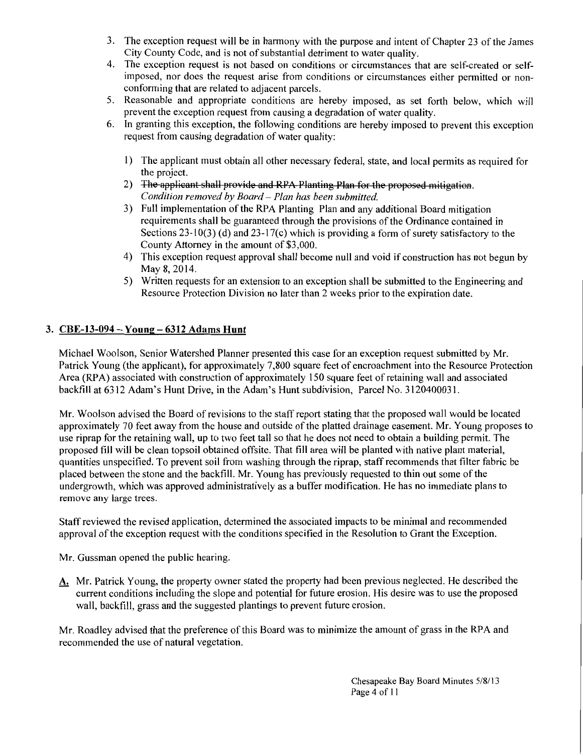- 3. The exception request will be in harmony with the purpose and intent of Chapter 23 ofthe James City County Code, and is not of substantial detriment to water quality.
- 4. The exception request is not based on conditions or circumstances that are self-created or selfimposed, nor does the request arise from conditions or circumstances either permitted or nonconforming that are related to adjacent parcels.
- 5. Reasonable and appropriate conditions are hereby imposed, as set forth below, which will prevent the exception request from causing a degradation of water quality.
- 6. In granting this exception, the following conditions are hereby imposed to prevent this exception request from causing degradation of water quality:
	- 1) The applicant must obtain all other necessary federal, state, and local permits as required for the project.
	- 2) The applieant shall provide and RPA Planting Plan for the proposed mitigation. *Condition removed by Board- Plan has been submitted.*
	- 3) Full implementation of the RPA Planting Plan and any additional Board mitigation requirements shall be guaranteed through the provisions of the Ordinance contained in Sections  $23-10(3)$  (d) and  $23-17(c)$  which is providing a form of surety satisfactory to the County Attorney in the amount of \$3,000.
	- 4) This exception request approval shall become null and void if construction has not begun by May 8, 2014.
	- 5) Written requests for an extension to an exception shall be submitted to the Engineering and Resource Protection Division no later than 2 weeks prior to the expiration date.

## 3. CBE-13-094 -Young- 6312 Adams Hunt

Michael Woolson, Senior Watershed Planner presented this case for an exception request submitted by Mr. Patrick Young (the applicant), for approximately 7,800 square feet of encroachment into the Resource Protection Area (RPA) associated with construction of approximately 150 square feet of retaining wall and associated backfill at 6312 Adam's Hunt Drive, in the Adam's Hunt subdivision, Parcel No. 3120400031.

Mr. Woolson advised the Board of revisions to the staff report stating that the proposed wall would be located approximately 70 feet away from the house and outside of the platted drainage easement. Mr. Young proposes to use riprap for the retaining wall, up to two feet tall so that he does not need to obtain a building permit. The proposed fill will be clean topsoil obtained offsite. That fill area will be planted with native plant material, quantities unspecified. To prevent soil from washing through the riprap, staff recommends that filter fabric be placed between the stone and the backfill. Mr. Young has previously requested to thin out some of the undergrowth, which was approved administratively as a buffer modification. He has no immediate plans to remove any large trees.

Staff reviewed the revised application, determined the associated impacts to be minimal and recommended approval of the exception request with the conditions specified in the Resolution to Grant the Exception.

Mr. Gussman opened the public hearing.

A. Mr. Patrick Young, the property owner stated the property had been previous neglected. He described the current conditions including the slope and potential for future erosion. His desire was to use the proposed wall, backfill, grass and the suggested plantings to prevent future erosion.

Mr. Roadley advised that the preference of this Board was to minimize the amount of grass in the RPA and recommended the use of natural vegetation.

> Chesapeake Bay Board Minutes 5/8/13 Page 4 of 11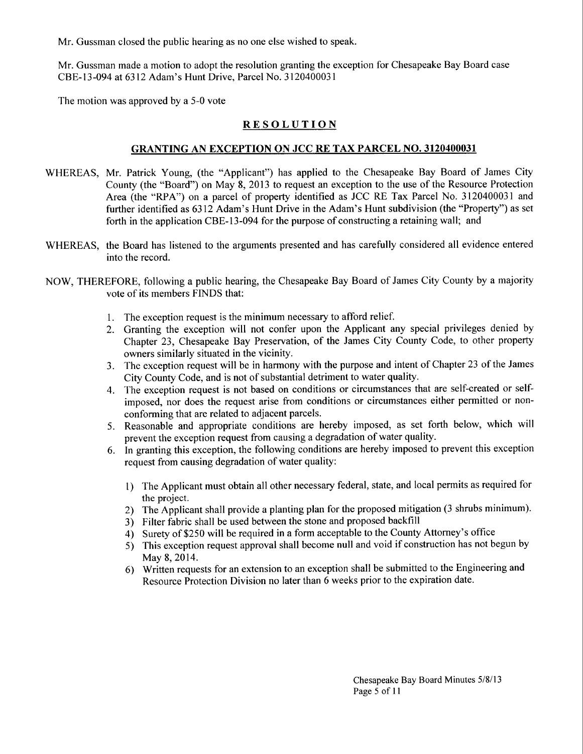Mr. Gussman closed the public hearing as no one else wished to speak.

Mr. Gussman made a motion to adopt the resolution granting the exception for Chesapeake Bay Board case CBE-13-094 at 6312 Adam's Hunt Drive, Parcel No. 3120400031

The motion was approved by a 5-0 vote

## **RESOLUTION**

#### GRANTING AN EXCEPTION ON JCC RE TAX PARCEL NO. 3120400031

- WHEREAS, Mr. Patrick Young, (the "Applicant") has applied to the Chesapeake Bay Board of James City County (the "Board") on May 8, 2013 to request an exception to the use of the Resource Protection Area (the "RPA") on a parcel of property identified as JCC RE Tax Parcel No. 3120400031 and further identified as 6312 Adam's Hunt Drive in the Adam's Hunt subdivision (the "Property") as set forth in the application CBE-13-094 for the purpose of constructing a retaining wall; and
- WHEREAS, the Board has listened to the arguments presented and has carefully considered all evidence entered into the record.
- NOW, THEREFORE, following a public hearing, the Chesapeake Bay Board of James City County by a majority vote of its members FINDS that:
	- 1. The exception request is the minimum necessary to afford relief.
	- 2. Granting the exception will not confer upon the Applicant any special privileges denied by Chapter 23, Chesapeake Bay Preservation, of the James City County Code, to other property owners similarly situated in the vicinity.
	- 3. The exception request will be in harmony with the purpose and intent of Chapter 23 of the James City County Code, and is not of substantial detriment to water quality.
	- 4. The exception request is not based on conditions or circumstances that are self-created or selfimposed, nor does the request arise from conditions or circumstances either permitted or nonconforming that are related to adjacent parcels.
	- 5. Reasonable and appropriate conditions are hereby imposed, as set forth below, which will prevent the exception request from causing a degradation of water quality.
	- 6. In granting this exception, the following conditions are hereby imposed to prevent this exception request from causing degradation of water quality:
		- 1) The Applicant must obtain all other necessary federal, state, and local permits as required for the project.
		- 2) The Applicant shall provide a planting plan for the proposed mitigation (3 shrubs minimum).
		- 3) Filter fabric shall be used between the stone and proposed backfill
		- 4) Surety of\$250 will be required in a form acceptable to the County Attorney's office
		- 5) This exception request approval shall become null and void if construction has not begun by May 8, 2014.
		- 6) Written requests for an extension to an exception shall be submitted to the Engineering and Resource Protection Division no later than 6 weeks prior to the expiration date.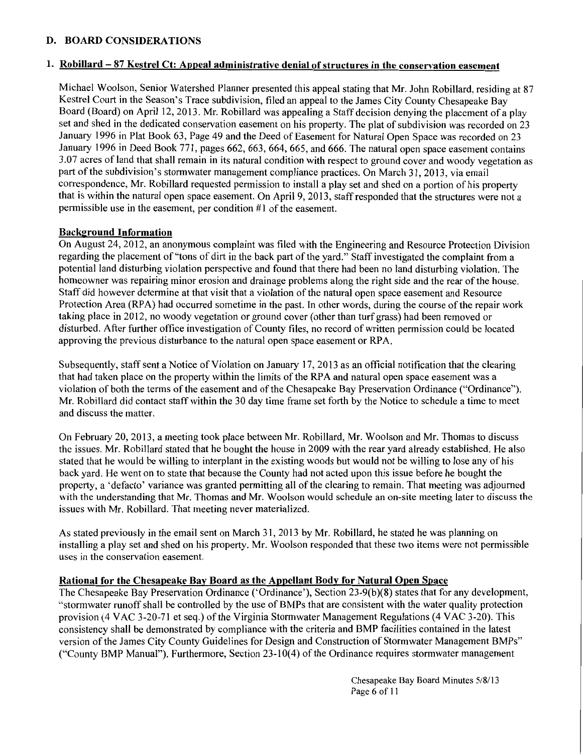## D. BOARD CONSIDERATIONS

#### 1. Robillard - 87 Kestrel Ct: Appeal administrative denial of structures in the conservation easement

Michael Woolson, Senior Watershed Planner presented this appeal stating that Mr. John Robillard, residing at 87 Kestrel Court in the Season's Trace subdivision, filed an appeal to the James City County Chesapeake Bay Board (Board) on April 12, 2013. Mr. Robillard was appealing a Staff decision denying the placement of a play set and shed in the dedicated conservation easement on his property. The plat of subdivision was recorded on 23 January 1996 in Plat Book 63, Page 49 and the Deed of Easement for Natural Open Space was recorded on 23 January 1996 in Deed Book 771, pages 662, 663, 664, 665, and 666. The natural open space easement contains 3.07 acres of land that shall remain in its natural condition with respect to ground cover and woody vegetation as part of the subdivision's stormwater management compliance practices. On March 31, 2013, via email correspondence, Mr. Robillard requested permission to install a play set and shed on a portion of his property that is within the natural open space easement. On April 9, 2013, staff responded that the structures were not a permissible use in the easement, per condition #1 of the easement.

## Background Information

On August 24, 2012, an anonymous complaint was filed with the Engineering and Resource Protection Division regarding the placement of "tons of dirt in the back part of the yard." Staff investigated the complaint from a potential land disturbing violation perspective and found that there had been no land disturbing violation. The homeowner was repairing minor erosion and drainage problems along the right side and the rear of the house. Staff did however determine at that visit that a violation of the natural open space easement and Resource Protection Area (RPA) had occurred sometime in the past. In other words, during the course of the repair work taking place in 2012, no woody vegetation or ground cover (other than turf grass) had been removed or disturbed. After further office investigation of County files, no record of written permission could be located approving the previous disturbance to the natural open space easement or RPA.

Subsequently, staff sent a Notice of Violation on January 17, 2013 as an official notification that the clearing that had taken place on the property within the limits of the RP A and natural open space easement was a violation of both the terms of the easement and of the Chesapeake Bay Preservation Ordinance ("Ordinance"). Mr. Robillard did contact staff within the 30 day time frame set forth by the Notice to schedule a time to meet and discuss the matter.

On February 20, 2013, a meeting took place between Mr. Robillard, Mr. Woolson and Mr. Thomas to discuss the issues. Mr. Robillard stated that he bought the house in 2009 with the rear yard already established. He also stated that he would be willing to interplant in the existing woods but would not be willing to lose any of his back yard. He went on to state that because the County had not acted upon this issue before he bought the property, a 'defacto' variance was granted permitting all of the clearing to remain. That meeting was adjourned with the understanding that Mr. Thomas and Mr. Woolson would schedule an on-site meeting later to discuss the issues with Mr. Robillard. That meeting never materialized.

As stated previously in the email sent on March 31, 2013 by Mr. Robillard, he stated he was planning on installing a play set and shed on his property. Mr. Woolson responded that these two items were not permissible uses in the conservation easement.

## Rational for the Chesapeake Bay Board as the Appellant Body for Natural Open Space

The Chesapeake Bay Preservation Ordinance ('Ordinance'), Section 23-9(b)(8) states that for any development, "storm water runoff shall be controlled by the use of BMPs that are consistent with the water quality protection provision (4 VAC 3-20-71 et seq.) of the Virginia Stormwater Management Regulations (4 VAC 3-20). This consistency shall be demonstrated by compliance with the criteria and BMP facilities contained in the latest version of the James City County Guidelines for Design and Construction of Storm water Management BMPs" ("County BMP Manual"). Furthermore, Section 23-1 0( 4) of the Ordinance requires storm water management

> Chesapeake Bay Board Minutes 5/8/13 Page 6 of 11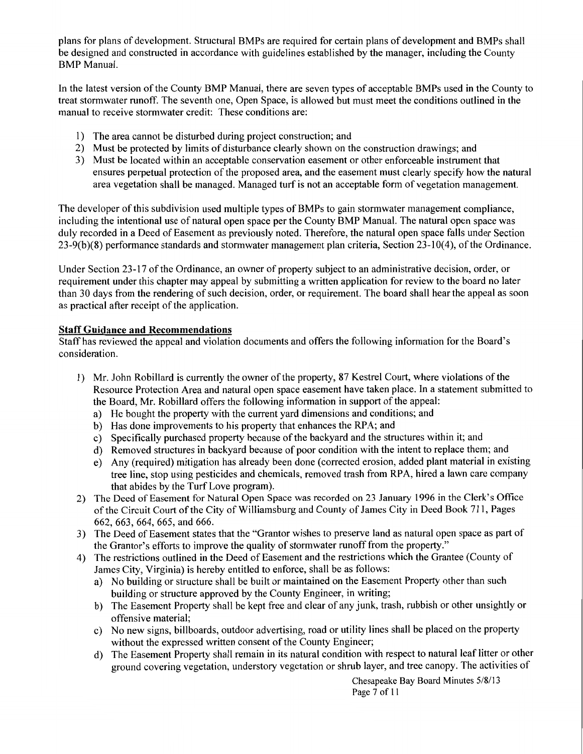plans for plans of development. Structural BMPs are required for certain plans of development and BMPs shall be designed and constructed in accordance with guidelines established by the manager, including the County BMP Manual.

In the latest version of the County BMP Manual, there are seven types of acceptable BMPs used in the County to treat stormwater runoff. The seventh one, Open Space, is allowed but must meet the conditions outlined in the manual to receive stormwater credit: These conditions are:

- I) The area cannot be disturbed during project construction; and
- 2) Must be protected by limits of disturbance clearly shown on the construction drawings; and
- 3) Must be located within an acceptable conservation easement or other enforceable instrument that ensures perpetual protection of the proposed area, and the easement must clearly specify how the natural area vegetation shall be managed. Managed turf is not an acceptable form of vegetation management.

The developer of this subdivision used multiple types of BMPs to gain stormwater management compliance, including the intentional use of natural open space per the County BMP Manual. The natural open space was duly recorded in a Deed of Easement as previously noted. Therefore, the natural open space falls under Section 23-9(b)(8) performance standards and stormwater management plan criteria, Section 23-10(4), of the Ordinance.

Under Section 23-17 of the Ordinance, an owner of property subject to an administrative decision, order, or requirement under this chapter may appeal by submitting a written application for review to the board no later than 30 days from the rendering of such decision, order, or requirement. The board shall hear the appeal as soon as practical after receipt of the application.

## **Staff Guidance and Recommendations**

Staff has reviewed the appeal and violation documents and offers the following information for the Board's consideration.

- 1) Mr. John Robillard is currently the owner of the property, 87 Kestrel Court, where violations of the Resource Protection Area and natural open space easement have taken place. In a statement submitted to the Board, Mr. Robillard offers the following information in support of the appeal:
	- a) He bought the property with the current yard dimensions and conditions; and
	- b) Has done improvements to his property that enhances the RPA; and
	- c) Specifically purchased property because of the backyard and the structures within it; and
	- d) Removed structures in backyard because of poor condition with the intent to replace them; and
	- e) Any (required) mitigation has already been done (corrected erosion, added plant material in existing tree line, stop using pesticides and chemicals, removed trash from RPA, hired a lawn care company that abides by the Turf Love program).
- 2) The Deed of Easement for Natural Open Space was recorded on 23 January 1996 in the Clerk's Office of the Circuit Court of the City of Williamsburg and County of James City in Deed Book 711, Pages 662, 663, 664, 665, and 666.
- 3) The Deed of Easement states that the "Grantor wishes to preserve land as natural open space as part of the Grantor's efforts to improve the quality of stormwater runoff from the property."
- 4) The restrictions outlined in the Deed of Easement and the restrictions which the Grantee (County of James City, Virginia) is hereby entitled to enforce, shall be as follows:
	- a) No building or structure shall be built or maintained on the Easement Property other than such building or structure approved by the County Engineer, in writing;
	- b) The Easement Property shall be kept free and clear of any junk, trash, rubbish or other unsightly or offensive material;
	- c) No new signs, billboards, outdoor advertising, road or utility lines shall be placed on the property without the expressed written consent of the County Engineer;
	- d) The Easement Property shall remain in its natural condition with respect to natural leaf litter or other ground covering vegetation, understory vegetation or shrub layer, and tree canopy. The activities of

Chesapeake Bay Board Minutes 5/8/13 Page 7 of 11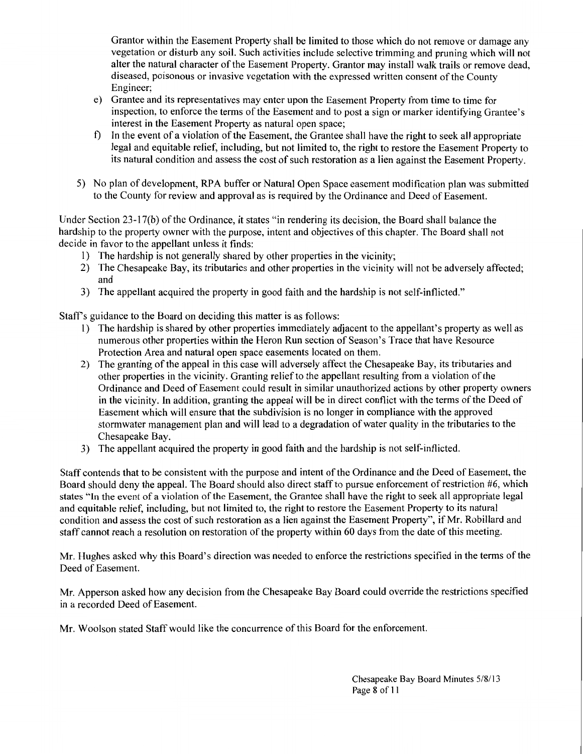Grantor within the Easement Property shall be limited to those which do not remove or damage any vegetation or disturb any soil. Such activities include selective trimming and pruning which will not alter the natural character of the Easement Property. Grantor may install walk trails or remove dead, diseased, poisonous or invasive vegetation with the expressed written consent of the County Engineer;

- e) Grantee and its representatives may enter upon the Easement Property from time to time for inspection, to enforce the terms of the Easement and to post a sign or marker identifying Grantee's interest in the Easement Property as natural open space;
- f) In the event of a violation of the Easement, the Grantee shall have the right to seek all appropriate legal and equitable relief, including, but not limited to, the right to restore the Easement Property to its natural condition and assess the cost of such restoration as a lien against the Easement Property.
- 5) No plan of development, RPA buffer or Natural Open Space easement modification plan was submitted to the County for review and approval as is required by the Ordinance and Deed of Easement.

Under Section 23-17(b) of the Ordinance, it states "in rendering its decision, the Board shall balance the hardship to the property owner with the purpose, intent and objectives of this chapter. The Board shall not decide in favor to the appellant unless it finds:

- I) The hardship is not generally shared by other properties in the vicinity;
- 2) The Chesapeake Bay, its tributaries and other properties in the vicinity will not be adversely affected; and
- 3) The appellant acquired the property in good faith and the hardship is not self-inflicted."

Staff's guidance to the Board on deciding this matter is as follows:

- 1) The hardship is shared by other properties immediately adjacent to the appellant's property as well as numerous other properties within the Heron Run section of Season's Trace that have Resource Protection Area and natural open space easements located on them.
- 2) The granting of the appeal in this case will adversely affect the Chesapeake Bay, its tributaries and other properties in the vicinity. Granting relief to the appellant resulting from a violation of the Ordinance and Deed of Easement could result in similar unauthorized actions by other property owners in the vicinity. In addition, granting the appeal will be in direct conflict with the terms of the Deed of Easement which will ensure that the subdivision is no longer in compliance with the approved stormwater management plan and will lead to a degradation of water quality in the tributaries to the Chesapeake Bay.
- 3) The appellant acquired the property in good faith and the hardship is not self-inflicted.

Staff contends that to be consistent with the purpose and intent of the Ordinance and the Deed of Easement, the Board should deny the appeal. The Board should also direct staff to pursue enforcement of restriction #6, which states "In the event of a violation of the Easement, the Grantee shall have the right to seek all appropriate legal and equitable relief, including, but not limited to, the right to restore the Easement Property to its natural condition and assess the cost of such restoration as a lien against the Easement Property", if Mr. Robillard and staff cannot reach a resolution on restoration of the property within 60 days from the date of this meeting.

Mr. Hughes asked why this Board's direction was needed to enforce the restrictions specified in the terms of the Deed of Easement.

Mr. Apperson asked how any decision from the Chesapeake Bay Board could override the restrictions specified in a recorded Deed of Easement.

Mr. Woolson stated Staff would like the concurrence of this Board for the enforcement.

Chesapeake Bay Board Minutes 5/8113 Page 8 of II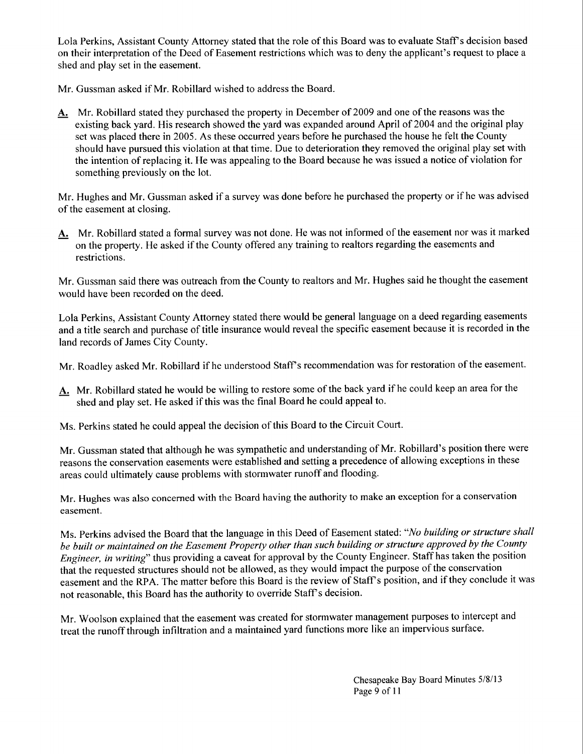Lola Perkins, Assistant County Attorney stated that the role of this Board was to evaluate Staff's decision based on their interpretation of the Deed of Easement restrictions which was to deny the applicant's request to place a shed and play set in the easement.

Mr. Gussman asked if Mr. Robillard wished to address the Board.

A. Mr. Robillard stated they purchased the property in December of 2009 and one of the reasons was the existing back yard. His research showed the yard was expanded around April of 2004 and the original play set was placed there in 2005. As these occurred years before he purchased the house he felt the County should have pursued this violation at that time. Due to deterioration they removed the original play set with the intention of replacing it. He was appealing to the Board because he was issued a notice of violation for something previously on the lot.

Mr. Hughes and Mr. Gussman asked if a survey was done before he purchased the property or if he was advised of the easement at closing.

A. Mr. Robillard stated a formal survey was not done. He was not informed of the easement nor was it marked on the property. He asked if the County offered any training to realtors regarding the easements and restrictions.

Mr. Gussman said there was outreach from the County to realtors and Mr. Hughes said he thought the easement would have been recorded on the deed.

Lola Perkins, Assistant County Attorney stated there would be general language on a deed regarding easements and a title search and purchase of title insurance would reveal the specific easement because it is recorded in the land records of James City County.

Mr. Roadley asked Mr. Robillard if he understood Staff's recommendation was for restoration of the easement.

- A. Mr. Robillard stated he would be willing to restore some of the back yard if he could keep an area for the shed and play set. He asked if this was the final Board he could appeal to.
- Ms. Perkins stated he could appeal the decision of this Board to the Circuit Court.

Mr. Gussman stated that although he was sympathetic and understanding of Mr. Robillard's position there were reasons the conservation easements were established and setting a precedence of allowing exceptions in these areas could ultimately cause problems with stormwater runoff and flooding.

Mr. Hughes was also concerned with the Board having the authority to make an exception for a conservation easement.

Ms. Perkins advised the Board that the language in this Deed of Easement stated: *"No building or structure shall be built or maintained on the Easement Property other than such building or structure approved by the County Engineer, in writing"* thus providing a caveat for approval by the County Engineer. Staff has taken the position that the requested structures should not be allowed, as they would impact the purpose of the conservation easement and the RPA. The matter before this Board is the review of Staff's position, and if they conclude it was not reasonable, this Board has the authority to override Staff's decision.

Mr. Woolson explained that the easement was created for stormwater management purposes to intercept and treat the runoff through infiltration and a maintained yard functions more like an impervious surface.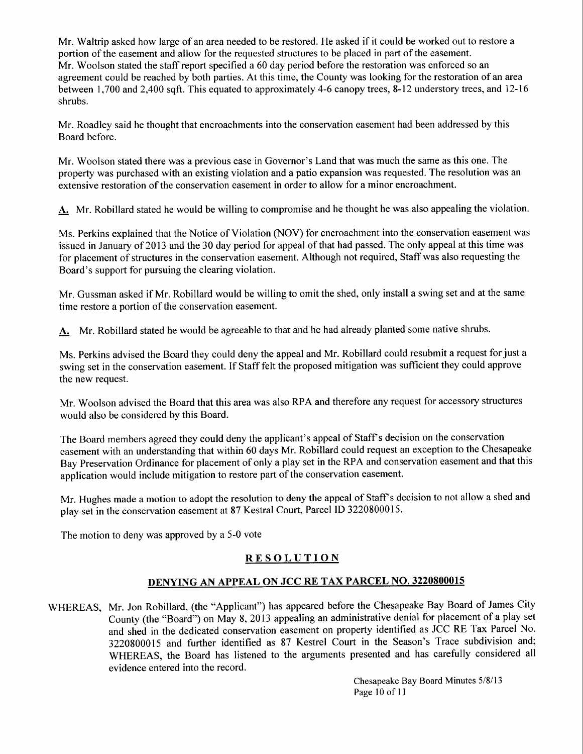Mr. Waltrip asked how large of an area needed to be restored. He asked if it could be worked out to restore a portion of the easement and allow for the requested structures to be placed in part of the easement. Mr. Woolson stated the staff report specified a 60 day period before the restoration was enforced so an agreement could be reached by both parties. At this time, the County was looking for the restoration of an area between 1, 700 and 2,400 sqft. This equated to approximately 4-6 canopy trees, 8-12 understory trees, and 12-16 shrubs.

Mr. Roadley said he thought that encroachments into the conservation easement had been addressed by this Board before.

Mr. Woolson stated there was a previous case in Governor's Land that was much the same as this one. The property was purchased with an existing violation and a patio expansion was requested. The resolution was an extensive restoration of the conservation easement in order to allow for a minor encroachment.

A. Mr. Robillard stated he would be willing to compromise and he thought he was also appealing the violation.

Ms. Perkins explained that the Notice of Violation (NOV) for encroachment into the conservation easement was issued in January of2013 and the 30 day period for appeal of that had passed. The only appeal at this time was for placement of structures in the conservation easement. Although not required, Staff was also requesting the Board's support for pursuing the clearing violation.

Mr. Gussman asked if Mr. Robillard would be willing to omit the shed, only install a swing set and at the same time restore a portion of the conservation easement.

A. Mr. Robillard stated he would be agreeable to that and he had already planted some native shrubs.

Ms. Perkins advised the Board they could deny the appeal and Mr. Robillard could resubmit a request for just a swing set in the conservation easement. If Staff felt the proposed mitigation was sufficient they could approve the new request.

Mr. Woolson advised the Board that this area was also RPA and therefore any request for accessory structures would also be considered by this Board.

The Board members agreed they could deny the applicant's appeal of Staff's decision on the conservation easement with an understanding that within 60 days Mr. Robillard could request an exception to the Chesapeake Bay Preservation Ordinance for placement of only a play set in the RPA and conservation easement and that this application would include mitigation to restore part of the conservation easement.

Mr. Hughes made a motion to adopt the resolution to deny the appeal of Staff's decision to not allow a shed and play set in the conservation easement at 87 Kestral Court, Parcel ID 3220800015.

The motion to deny was approved by a 5-0 vote

# **RESOLUTION**

# DENYING AN APPEAL ON JCC RE TAX PARCEL NO. 3220800015

WHEREAS, Mr. Jon Robillard, (the "Applicant") has appeared before the Chesapeake Bay Board of James City County (the "Board") on May 8, 2013 appealing an administrative denial for placement of a play set and shed in the dedicated conservation easement on property identified as JCC RE Tax Parcel No. 3220800015 and further identified as 87 Kestrel Court in the Season's Trace subdivision and; WHEREAS, the Board has listened to the arguments presented and has carefully considered all evidence entered into the record.

> Chesapeake Bay Board Minutes 5/8/13 Page 10 of 11